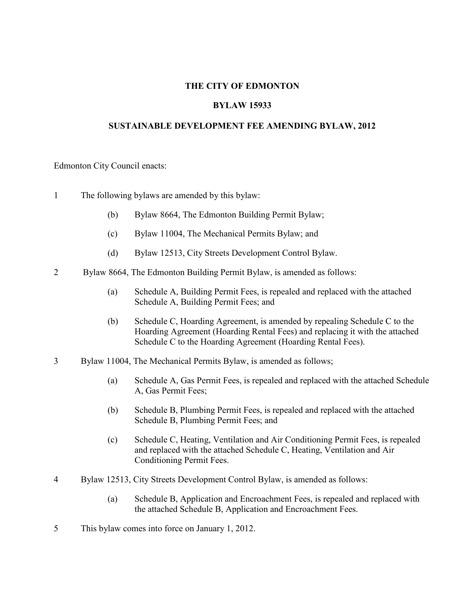#### **THE CITY OF EDMONTON**

#### **BYLAW 15933**

#### **SUSTAINABLE DEVELOPMENT FEE AMENDING BYLAW, 2012**

Edmonton City Council enacts:

- 1 The following bylaws are amended by this bylaw:
	- (b) Bylaw 8664, The Edmonton Building Permit Bylaw;
	- (c) Bylaw 11004, The Mechanical Permits Bylaw; and
	- (d) Bylaw 12513, City Streets Development Control Bylaw.
- 2 Bylaw 8664, The Edmonton Building Permit Bylaw, is amended as follows:
	- (a) Schedule A, Building Permit Fees, is repealed and replaced with the attached Schedule A, Building Permit Fees; and
	- (b) Schedule C, Hoarding Agreement, is amended by repealing Schedule C to the Hoarding Agreement (Hoarding Rental Fees) and replacing it with the attached Schedule C to the Hoarding Agreement (Hoarding Rental Fees).
- 3 Bylaw 11004, The Mechanical Permits Bylaw, is amended as follows;
	- (a) Schedule A, Gas Permit Fees, is repealed and replaced with the attached Schedule A, Gas Permit Fees;
	- (b) Schedule B, Plumbing Permit Fees, is repealed and replaced with the attached Schedule B, Plumbing Permit Fees; and
	- (c) Schedule C, Heating, Ventilation and Air Conditioning Permit Fees, is repealed and replaced with the attached Schedule C, Heating, Ventilation and Air Conditioning Permit Fees.
- 4 Bylaw 12513, City Streets Development Control Bylaw, is amended as follows:
	- (a) Schedule B, Application and Encroachment Fees, is repealed and replaced with the attached Schedule B, Application and Encroachment Fees.
- 5 This bylaw comes into force on January 1, 2012.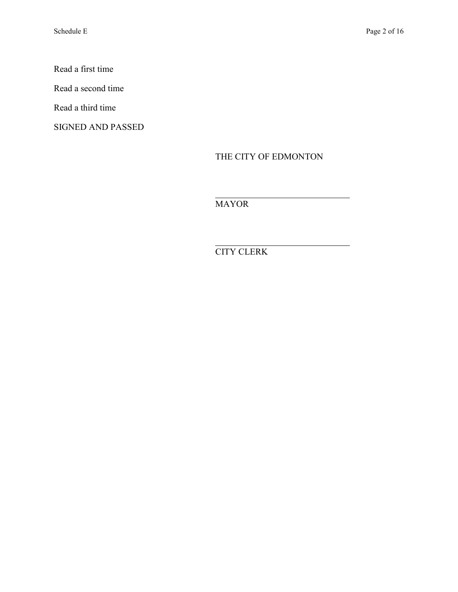Read a first time

Read a second time

Read a third time

SIGNED AND PASSED

THE CITY OF EDMONTON

MAYOR

 $\overline{a}$ 

 $\overline{a}$ CITY CLERK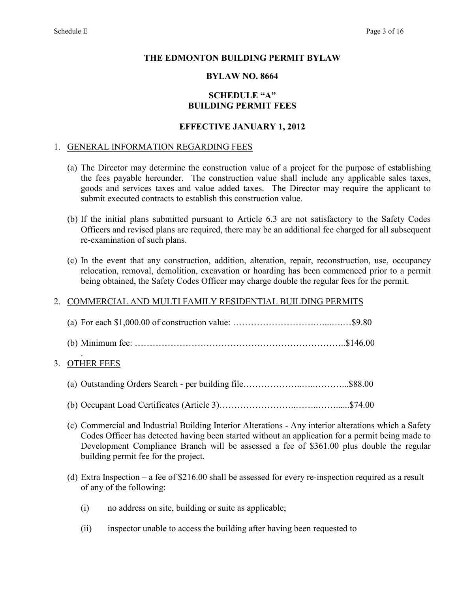#### **THE EDMONTON BUILDING PERMIT BYLAW**

#### **BYLAW NO. 8664**

### **SCHEDULE "A" BUILDING PERMIT FEES**

#### **EFFECTIVE JANUARY 1, 2012**

#### 1. GENERAL INFORMATION REGARDING FEES

- (a) The Director may determine the construction value of a project for the purpose of establishing the fees payable hereunder. The construction value shall include any applicable sales taxes, goods and services taxes and value added taxes. The Director may require the applicant to submit executed contracts to establish this construction value.
- (b) If the initial plans submitted pursuant to Article 6.3 are not satisfactory to the Safety Codes Officers and revised plans are required, there may be an additional fee charged for all subsequent re-examination of such plans.
- (c) In the event that any construction, addition, alteration, repair, reconstruction, use, occupancy relocation, removal, demolition, excavation or hoarding has been commenced prior to a permit being obtained, the Safety Codes Officer may charge double the regular fees for the permit.

### 2. COMMERCIAL AND MULTI FAMILY RESIDENTIAL BUILDING PERMITS

#### . 3. OTHER FEES

- (a) Outstanding Orders Search per building file………………..…..………...\$88.00
- (b) Occupant Load Certificates (Article 3)……………………..……..……......\$74.00
- (c) Commercial and Industrial Building Interior Alterations Any interior alterations which a Safety Codes Officer has detected having been started without an application for a permit being made to Development Compliance Branch will be assessed a fee of \$361.00 plus double the regular building permit fee for the project.
- (d) Extra Inspection a fee of \$216.00 shall be assessed for every re-inspection required as a result of any of the following:
	- (i) no address on site, building or suite as applicable;
	- (ii) inspector unable to access the building after having been requested to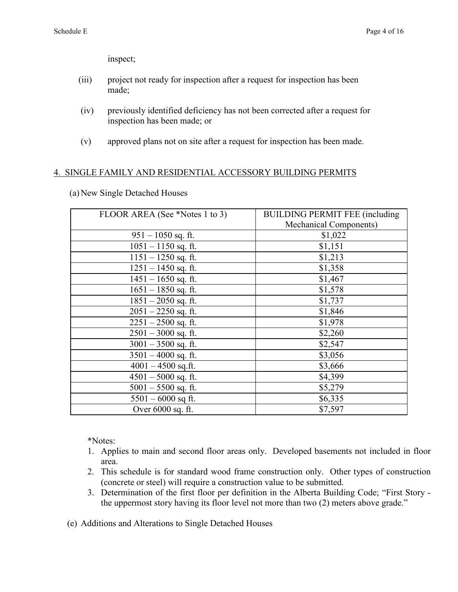inspect;

- (iii) project not ready for inspection after a request for inspection has been made;
- (iv) previously identified deficiency has not been corrected after a request for inspection has been made; or
- (v) approved plans not on site after a request for inspection has been made.

### 4. SINGLE FAMILY AND RESIDENTIAL ACCESSORY BUILDING PERMITS

(a) New Single Detached Houses

| FLOOR AREA (See *Notes 1 to 3) | <b>BUILDING PERMIT FEE (including)</b> |
|--------------------------------|----------------------------------------|
|                                | <b>Mechanical Components)</b>          |
| $951 - 1050$ sq. ft.           | \$1,022                                |
| $1051 - 1150$ sq. ft.          | \$1,151                                |
| $1151 - 1250$ sq. ft.          | \$1,213                                |
| $1251 - 1450$ sq. ft.          | \$1,358                                |
| $1451 - 1650$ sq. ft.          | \$1,467                                |
| $1651 - 1850$ sq. ft.          | \$1,578                                |
| $1851 - 2050$ sq. ft.          | \$1,737                                |
| $2051 - 2250$ sq. ft.          | \$1,846                                |
| $2251 - 2500$ sq. ft.          | \$1,978                                |
| $2501 - 3000$ sq. ft.          | \$2,260                                |
| $3001 - 3500$ sq. ft.          | \$2,547                                |
| $3501 - 4000$ sq. ft.          | \$3,056                                |
| $4001 - 4500$ sq.ft.           | \$3,666                                |
| $4501 - 5000$ sq. ft.          | \$4,399                                |
| $5001 - 5500$ sq. ft.          | \$5,279                                |
| $5501 - 6000$ sq ft.           | \$6,335                                |
| Over 6000 sq. ft.              | \$7,597                                |

\*Notes:

- 1. Applies to main and second floor areas only. Developed basements not included in floor area.
- 2. This schedule is for standard wood frame construction only. Other types of construction (concrete or steel) will require a construction value to be submitted.
- 3. Determination of the first floor per definition in the Alberta Building Code; "First Story the uppermost story having its floor level not more than two (2) meters above grade."

(e) Additions and Alterations to Single Detached Houses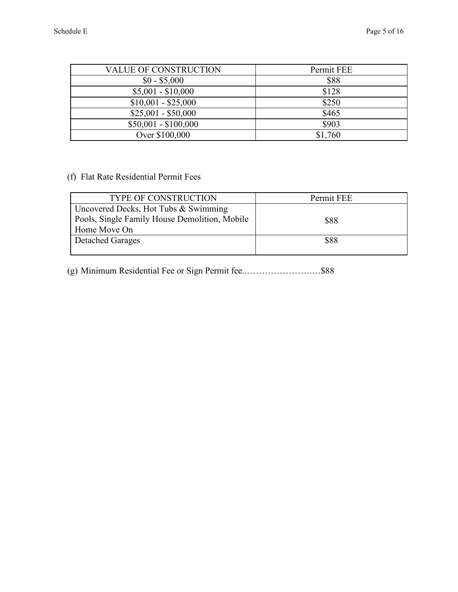| <b>VALUE OF CONSTRUCTION</b> | Permit FEE |
|------------------------------|------------|
| $$0 - $5,000$                | \$88       |
| $$5,001 - $10,000$           | \$128      |
| $$10,001 - $25,000$          | \$250      |
| $$25,001 - $50,000$          | \$465      |
| $$50,001 - $100,000$         | \$903      |
| Over \$100,000               | \$1,760    |

# (f) Flat Rate Residential Permit Fees

| <b>TYPE OF CONSTRUCTION</b>                   | Permit FEE |
|-----------------------------------------------|------------|
| Uncovered Decks, Hot Tubs & Swimming          |            |
| Pools, Single Family House Demolition, Mobile | \$88       |
| Home Move On                                  |            |
| <b>Detached Garages</b>                       | \$88       |
|                                               |            |

(g) Minimum Residential Fee or Sign Permit fee..………………….…\$88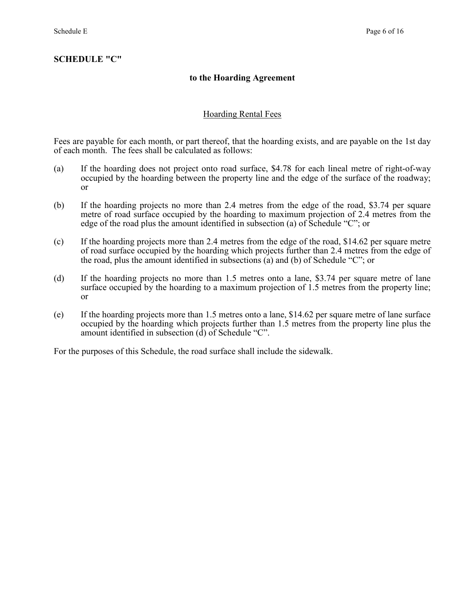### **to the Hoarding Agreement**

### Hoarding Rental Fees

Fees are payable for each month, or part thereof, that the hoarding exists, and are payable on the 1st day of each month. The fees shall be calculated as follows:

- (a) If the hoarding does not project onto road surface, \$4.78 for each lineal metre of right-of-way occupied by the hoarding between the property line and the edge of the surface of the roadway; or
- (b) If the hoarding projects no more than 2.4 metres from the edge of the road, \$3.74 per square metre of road surface occupied by the hoarding to maximum projection of 2.4 metres from the edge of the road plus the amount identified in subsection (a) of Schedule "C"; or
- (c) If the hoarding projects more than 2.4 metres from the edge of the road, \$14.62 per square metre of road surface occupied by the hoarding which projects further than 2.4 metres from the edge of the road, plus the amount identified in subsections (a) and (b) of Schedule "C"; or
- (d) If the hoarding projects no more than 1.5 metres onto a lane, \$3.74 per square metre of lane surface occupied by the hoarding to a maximum projection of 1.5 metres from the property line; or
- (e) If the hoarding projects more than 1.5 metres onto a lane, \$14.62 per square metre of lane surface occupied by the hoarding which projects further than 1.5 metres from the property line plus the amount identified in subsection (d) of Schedule "C".

For the purposes of this Schedule, the road surface shall include the sidewalk.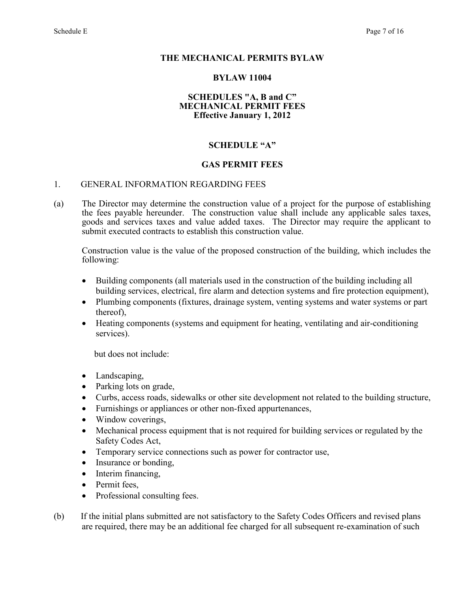#### **THE MECHANICAL PERMITS BYLAW**

#### **BYLAW 11004**

#### **SCHEDULES "A, B and C" MECHANICAL PERMIT FEES Effective January 1, 2012**

#### **SCHEDULE "A"**

#### **GAS PERMIT FEES**

#### 1. GENERAL INFORMATION REGARDING FEES

(a) The Director may determine the construction value of a project for the purpose of establishing the fees payable hereunder. The construction value shall include any applicable sales taxes, goods and services taxes and value added taxes. The Director may require the applicant to submit executed contracts to establish this construction value.

 Construction value is the value of the proposed construction of the building, which includes the following:

- Building components (all materials used in the construction of the building including all building services, electrical, fire alarm and detection systems and fire protection equipment),
- Plumbing components (fixtures, drainage system, venting systems and water systems or part thereof),
- Heating components (systems and equipment for heating, ventilating and air-conditioning services).

but does not include:

- Landscaping,
- Parking lots on grade,
- Curbs, access roads, sidewalks or other site development not related to the building structure,
- Furnishings or appliances or other non-fixed appurtenances,
- Window coverings,
- Mechanical process equipment that is not required for building services or regulated by the Safety Codes Act,
- Temporary service connections such as power for contractor use,
- Insurance or bonding,
- Interim financing,
- Permit fees,
- Professional consulting fees.
- (b) If the initial plans submitted are not satisfactory to the Safety Codes Officers and revised plans are required, there may be an additional fee charged for all subsequent re-examination of such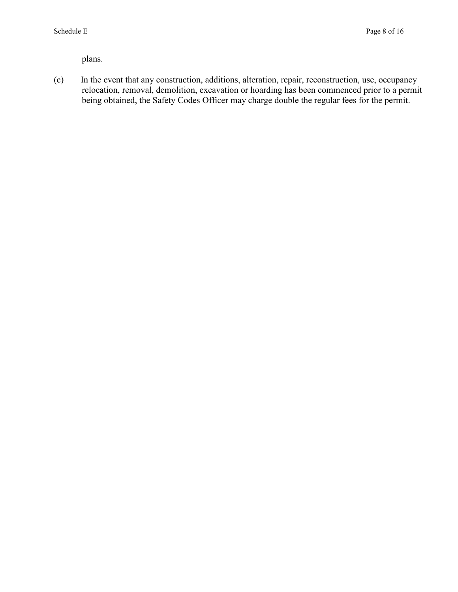plans.

(c) In the event that any construction, additions, alteration, repair, reconstruction, use, occupancy relocation, removal, demolition, excavation or hoarding has been commenced prior to a permit being obtained, the Safety Codes Officer may charge double the regular fees for the permit.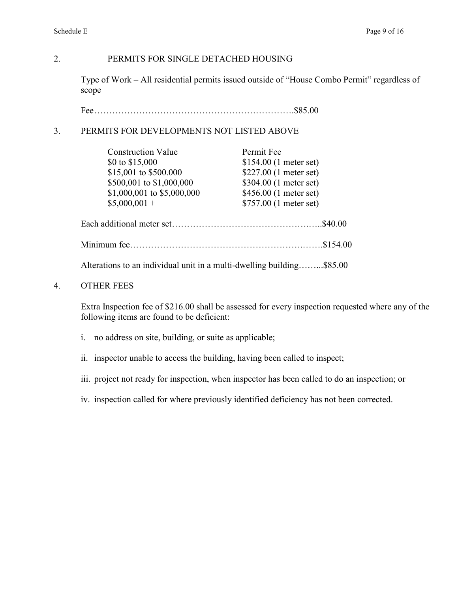# 2. PERMITS FOR SINGLE DETACHED HOUSING

Type of Work – All residential permits issued outside of "House Combo Permit" regardless of scope

Fee ………………………………………………………….\$85.00

### 3. PERMITS FOR DEVELOPMENTS NOT LISTED ABOVE

| <b>Construction Value</b>                                             | Permit Fee              |         |
|-----------------------------------------------------------------------|-------------------------|---------|
| \$0 to \$15,000                                                       | $$154.00$ (1 meter set) |         |
| \$15,001 to \$500.000                                                 | \$227.00 (1 meter set)  |         |
| \$500,001 to \$1,000,000                                              | \$304.00 (1 meter set)  |         |
| \$1,000,001 to \$5,000,000                                            | \$456.00 (1 meter set)  |         |
| $$5,000,001 +$                                                        | \$757.00 (1 meter set)  |         |
|                                                                       |                         | \$40.00 |
|                                                                       |                         |         |
| Alterations to an individual unit in a multi-dwelling building\$85.00 |                         |         |

# 4. OTHER FEES

Extra Inspection fee of \$216.00 shall be assessed for every inspection requested where any of the following items are found to be deficient:

- i. no address on site, building, or suite as applicable;
- ii. inspector unable to access the building, having been called to inspect;
- iii. project not ready for inspection, when inspector has been called to do an inspection; or
- iv. inspection called for where previously identified deficiency has not been corrected.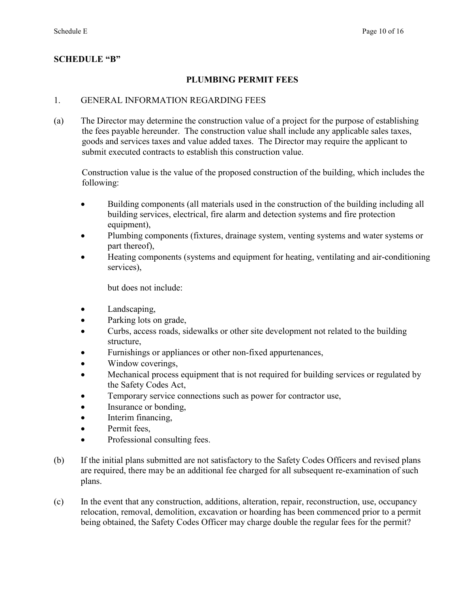# **SCHEDULE "B"**

### **PLUMBING PERMIT FEES**

#### 1. GENERAL INFORMATION REGARDING FEES

(a) The Director may determine the construction value of a project for the purpose of establishing the fees payable hereunder. The construction value shall include any applicable sales taxes, goods and services taxes and value added taxes. The Director may require the applicant to submit executed contracts to establish this construction value.

Construction value is the value of the proposed construction of the building, which includes the following:

- Building components (all materials used in the construction of the building including all building services, electrical, fire alarm and detection systems and fire protection equipment),
- Plumbing components (fixtures, drainage system, venting systems and water systems or part thereof),
- Heating components (systems and equipment for heating, ventilating and air-conditioning services),

but does not include:

- Landscaping,
- Parking lots on grade,
- Curbs, access roads, sidewalks or other site development not related to the building structure,
- Furnishings or appliances or other non-fixed appurtenances,
- Window coverings,
- Mechanical process equipment that is not required for building services or regulated by the Safety Codes Act,
- Temporary service connections such as power for contractor use,
- Insurance or bonding,
- Interim financing,
- Permit fees.
- Professional consulting fees.
- (b) If the initial plans submitted are not satisfactory to the Safety Codes Officers and revised plans are required, there may be an additional fee charged for all subsequent re-examination of such plans.
- (c) In the event that any construction, additions, alteration, repair, reconstruction, use, occupancy relocation, removal, demolition, excavation or hoarding has been commenced prior to a permit being obtained, the Safety Codes Officer may charge double the regular fees for the permit?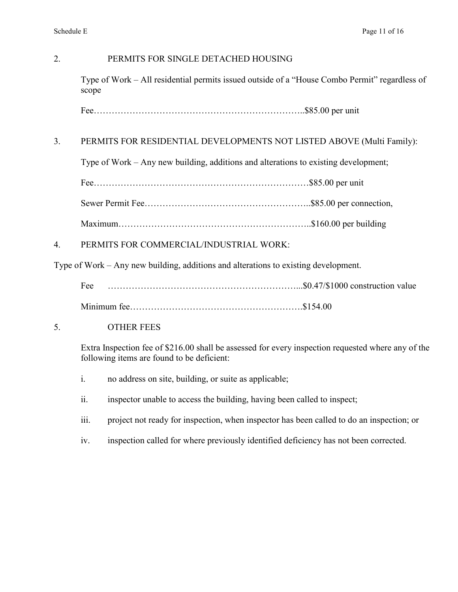# 2. PERMITS FOR SINGLE DETACHED HOUSING

Type of Work – All residential permits issued outside of a "House Combo Permit" regardless of scope

Fee……………………………………………………………..\$85.00 per unit

### 3. PERMITS FOR RESIDENTIAL DEVELOPMENTS NOT LISTED ABOVE (Multi Family):

Type of Work – Any new building, additions and alterations to existing development;

|--|--|--|

Sewer Permit Fee………………………………………………..\$85.00 per connection,

Maximum………………………………………………………..\$160.00 per building

4. PERMITS FOR COMMERCIAL/INDUSTRIAL WORK:

Type of Work – Any new building, additions and alterations to existing development.

Fee ………………………………………………………...\$0.47/\$1000 construction value

Minimum fee………………………………………………….\$154.00

5. OTHER FEES

Extra Inspection fee of \$216.00 shall be assessed for every inspection requested where any of the following items are found to be deficient:

- i. no address on site, building, or suite as applicable;
- ii. inspector unable to access the building, having been called to inspect;
- iii. project not ready for inspection, when inspector has been called to do an inspection; or
- iv. inspection called for where previously identified deficiency has not been corrected.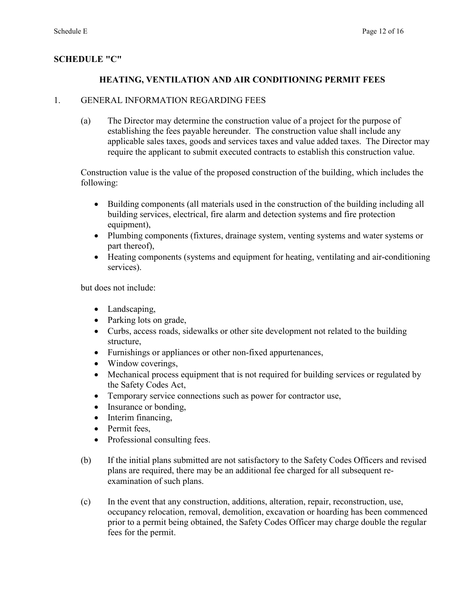# **SCHEDULE "C"**

# **HEATING, VENTILATION AND AIR CONDITIONING PERMIT FEES**

### 1. GENERAL INFORMATION REGARDING FEES

(a) The Director may determine the construction value of a project for the purpose of establishing the fees payable hereunder. The construction value shall include any applicable sales taxes, goods and services taxes and value added taxes. The Director may require the applicant to submit executed contracts to establish this construction value.

Construction value is the value of the proposed construction of the building, which includes the following:

- Building components (all materials used in the construction of the building including all building services, electrical, fire alarm and detection systems and fire protection equipment),
- Plumbing components (fixtures, drainage system, venting systems and water systems or part thereof),
- Heating components (systems and equipment for heating, ventilating and air-conditioning services).

but does not include:

- Landscaping,
- Parking lots on grade,
- Curbs, access roads, sidewalks or other site development not related to the building structure,
- Furnishings or appliances or other non-fixed appurtenances,
- Window coverings,
- Mechanical process equipment that is not required for building services or regulated by the Safety Codes Act,
- Temporary service connections such as power for contractor use,
- Insurance or bonding,
- Interim financing,
- Permit fees.
- Professional consulting fees.
- (b) If the initial plans submitted are not satisfactory to the Safety Codes Officers and revised plans are required, there may be an additional fee charged for all subsequent reexamination of such plans.
- (c) In the event that any construction, additions, alteration, repair, reconstruction, use, occupancy relocation, removal, demolition, excavation or hoarding has been commenced prior to a permit being obtained, the Safety Codes Officer may charge double the regular fees for the permit.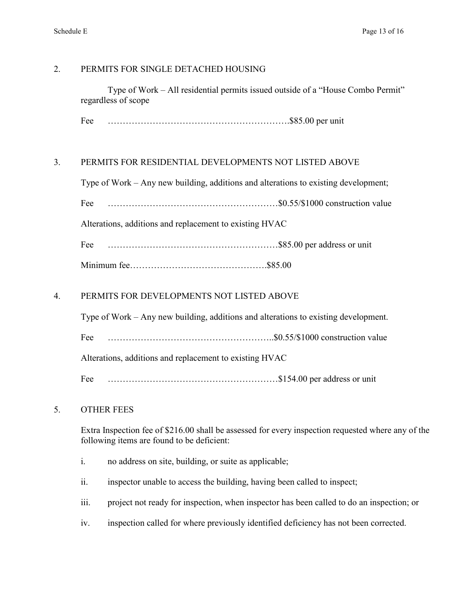### 2. PERMITS FOR SINGLE DETACHED HOUSING

 Type of Work – All residential permits issued outside of a "House Combo Permit" regardless of scope

Fee …………………………………………………….\$85.00 per unit

### 3. PERMITS FOR RESIDENTIAL DEVELOPMENTS NOT LISTED ABOVE

Type of Work – Any new building, additions and alterations to existing development;

Fee …………………………………………………\$0.55/\$1000 construction value

Alterations, additions and replacement to existing HVAC

Fee …………………………………………………\$85.00 per address or unit

|--|--|

### 4. PERMITS FOR DEVELOPMENTS NOT LISTED ABOVE

Type of Work – Any new building, additions and alterations to existing development. Fee ………………………………………………..\$0.55/\$1000 construction value Alterations, additions and replacement to existing HVAC

Fee …………………………………………………\$154.00 per address or unit

### 5. OTHER FEES

Extra Inspection fee of \$216.00 shall be assessed for every inspection requested where any of the following items are found to be deficient:

- i. no address on site, building, or suite as applicable;
- ii. inspector unable to access the building, having been called to inspect;
- iii. project not ready for inspection, when inspector has been called to do an inspection; or
- iv. inspection called for where previously identified deficiency has not been corrected.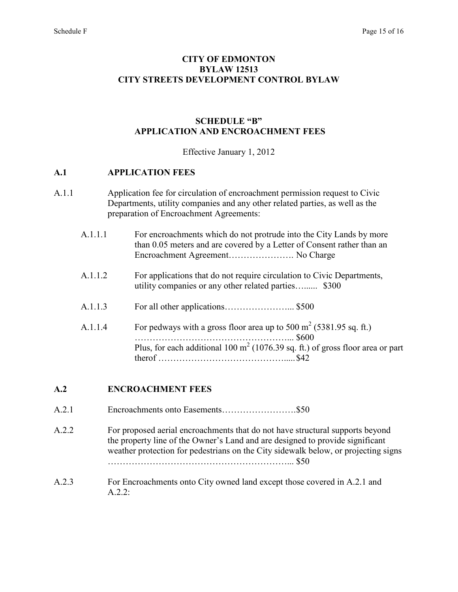#### **CITY OF EDMONTON BYLAW 12513 CITY STREETS DEVELOPMENT CONTROL BYLAW**

### **SCHEDULE "B" APPLICATION AND ENCROACHMENT FEES**

Effective January 1, 2012

#### **A.1 APPLICATION FEES**

- A.1.1 Application fee for circulation of encroachment permission request to Civic Departments, utility companies and any other related parties, as well as the preparation of Encroachment Agreements:
	- A.1.1.1 For encroachments which do not protrude into the City Lands by more than 0.05 meters and are covered by a Letter of Consent rather than an Encroachment Agreement…………………. No Charge
	- A.1.1.2 For applications that do not require circulation to Civic Departments, utility companies or any other related parties…...... \$300
	- A.1.1.3 For all other applications…………………... \$500
	- A.1.1.4 For pedways with a gross floor area up to 500 m<sup>2</sup> (5381.95 sq. ft.) ……………………………………………... \$600 Plus, for each additional 100  $m<sup>2</sup>$  (1076.39 sq. ft.) of gross floor area or part therof ……………………………………..... \$42

#### **A.2 ENCROACHMENT FEES**

- A.2.1 Encroachments onto Easements……………………. \$50
- A.2.2 For proposed aerial encroachments that do not have structural supports beyond the property line of the Owner's Land and are designed to provide significant weather protection for pedestrians on the City sidewalk below, or projecting signs ……………………………………………………... \$50
- A.2.3 For Encroachments onto City owned land except those covered in A.2.1 and A  $2^{\circ}$